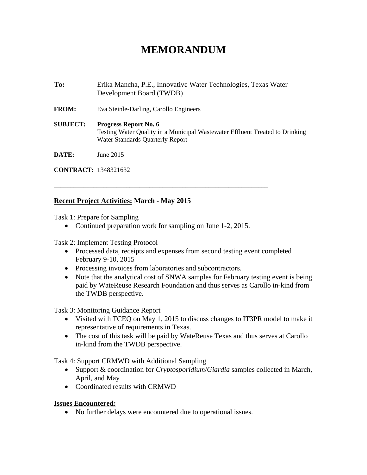## **MEMORANDUM**

**To:** Erika Mancha, P.E., Innovative Water Technologies, Texas Water Development Board (TWDB) **FROM:** Eva Steinle-Darling, Carollo Engineers **SUBJECT: Progress Report No. 6**  Testing Water Quality in a Municipal Wastewater Effluent Treated to Drinking Water Standards Quarterly Report **DATE:** June 2015

**CONTRACT:** 1348321632

## **Recent Project Activities: March - May 2015**

Task 1: Prepare for Sampling

• Continued preparation work for sampling on June 1-2, 2015.

\_\_\_\_\_\_\_\_\_\_\_\_\_\_\_\_\_\_\_\_\_\_\_\_\_\_\_\_\_\_\_\_\_\_\_\_\_\_\_\_\_\_\_\_\_\_\_\_\_\_\_\_\_\_\_\_\_\_\_\_\_\_\_\_\_

Task 2: Implement Testing Protocol

- Processed data, receipts and expenses from second testing event completed February 9-10, 2015
- Processing invoices from laboratories and subcontractors.
- Note that the analytical cost of SNWA samples for February testing event is being paid by WateReuse Research Foundation and thus serves as Carollo in-kind from the TWDB perspective.

Task 3: Monitoring Guidance Report

- Visited with TCEQ on May 1, 2015 to discuss changes to IT3PR model to make it representative of requirements in Texas.
- The cost of this task will be paid by WateReuse Texas and thus serves at Carollo in-kind from the TWDB perspective.

Task 4: Support CRMWD with Additional Sampling

- Support & coordination for *Cryptosporidium*/*Giardia* samples collected in March, April, and May
- Coordinated results with CRMWD

## **Issues Encountered:**

• No further delays were encountered due to operational issues.